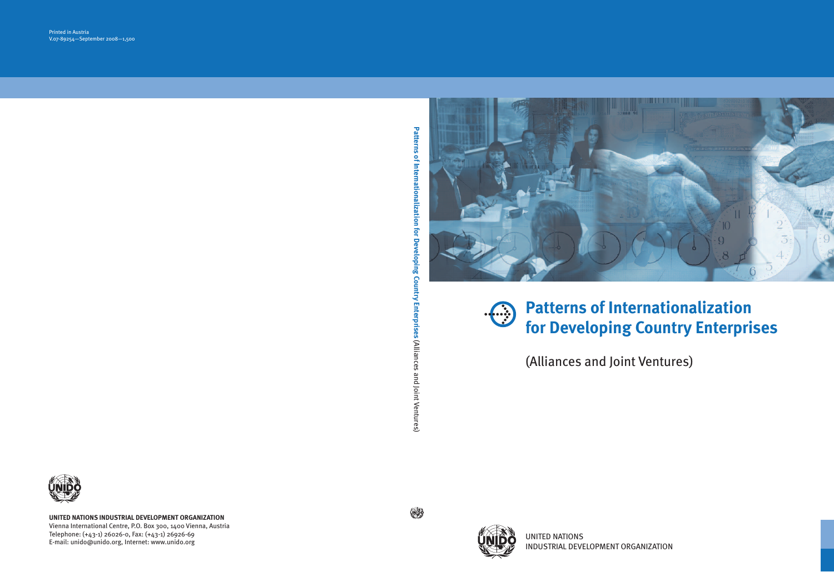

## **Patterns of Internationalization for Developing Country Enterprises**

(Alliances and Joint Ventures)



UNITED NATIONS INDUSTRIAL DEVELOPMENT ORGANIZATION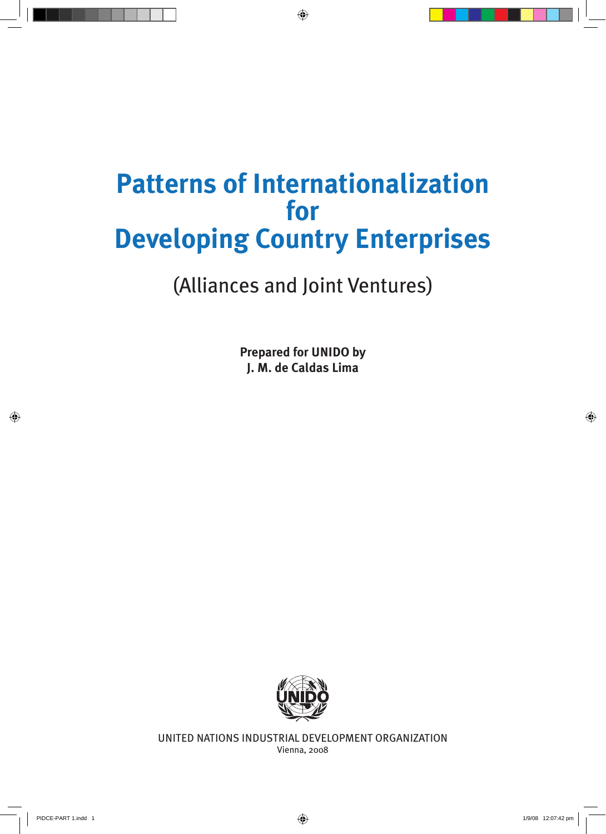## **Patterns of Internationalization for Developing Country Enterprises**

(Alliances and Joint Ventures)

**Prepared for UNIDO by J. M. de Caldas Lima**



UNITED NATIONS INDUSTRIAL DEVELOPMENT ORGANIZATION Vienna, 2008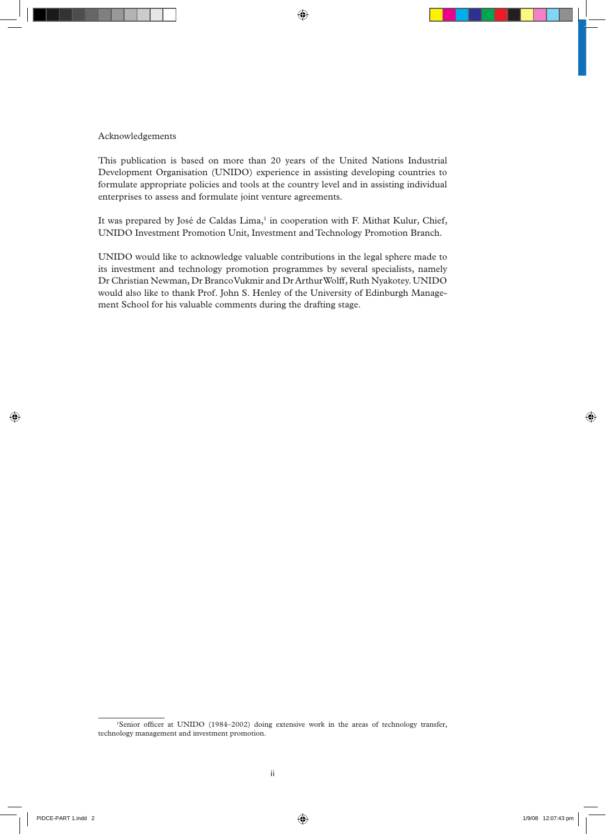#### Acknowledgements

This publication is based on more than 20 years of the United Nations Industrial Development Organisation (UNIDO) experience in assisting developing countries to formulate appropriate policies and tools at the country level and in assisting individual enterprises to assess and formulate joint venture agreements.

It was prepared by José de Caldas Lima,<sup>1</sup> in cooperation with F. Mithat Kulur, Chief, UNIDO Investment Promotion Unit, Investment and Technology Promotion Branch.

UNIDO would like to acknowledge valuable contributions in the legal sphere made to its investment and technology promotion programmes by several specialists, namely Dr Christian Newman, Dr Branco Vukmir and Dr Arthur Wolff, Ruth Nyakotey. UNIDO would also like to thank Prof. John S. Henley of the University of Edinburgh Management School for his valuable comments during the drafting stage.

<sup>1</sup> Senior officer at UNIDO (1984–2002) doing extensive work in the areas of technology transfer, technology management and investment promotion.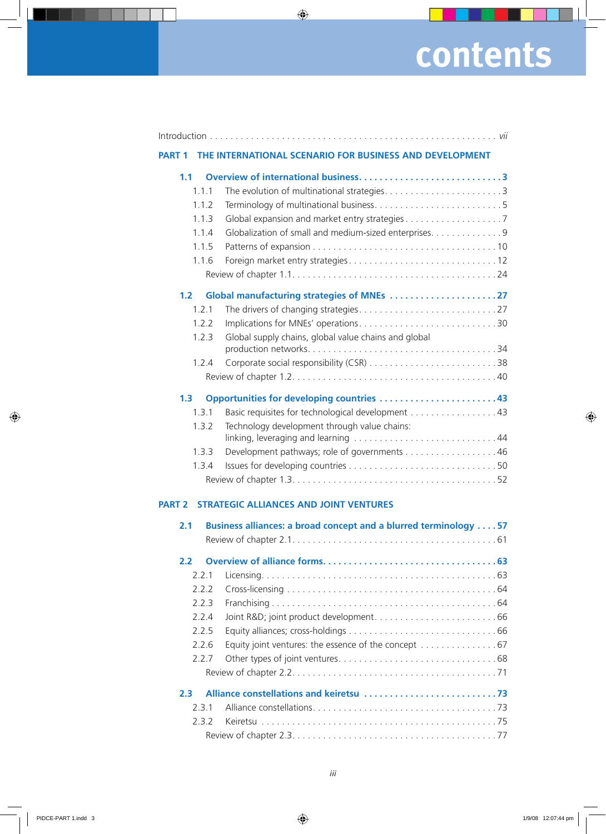# **contents**

| <b>PART 1</b>    |       | THE INTERNATIONAL SCENARIO FOR BUSINESS AND DEVELOPMENT          |
|------------------|-------|------------------------------------------------------------------|
| 1.1              |       |                                                                  |
|                  | 1.1.1 |                                                                  |
|                  | 1.1.2 |                                                                  |
|                  | 1.1.3 |                                                                  |
|                  | 1.1.4 | Globalization of small and medium-sized enterprises. 9           |
|                  | 1.1.5 |                                                                  |
|                  | 1.1.6 |                                                                  |
|                  |       |                                                                  |
| 1.2 <sub>2</sub> |       |                                                                  |
|                  | 1.2.1 |                                                                  |
|                  | 1.2.2 | Implications for MNEs' operations30                              |
|                  | 1.2.3 | Global supply chains, global value chains and global             |
|                  |       |                                                                  |
|                  | 1.2.4 |                                                                  |
|                  |       |                                                                  |
| 1.3              |       | Opportunities for developing countries 43                        |
|                  | 1.3.1 | Basic requisites for technological development 43                |
|                  | 1.3.2 | Technology development through value chains:                     |
|                  | 1.3.3 | Development pathways; role of governments 46                     |
|                  | 1.3.4 |                                                                  |
|                  |       |                                                                  |
| <b>PART 2</b>    |       | <b>STRATEGIC ALLIANCES AND JOINT VENTURES</b>                    |
| 2.1              |       | Business alliances: a broad concept and a blurred terminology 57 |
|                  |       |                                                                  |
| $2.2^{\circ}$    |       |                                                                  |
|                  | 2.2.1 |                                                                  |
|                  | 2.2.2 |                                                                  |
|                  | 2.2.3 |                                                                  |
|                  | 2.2.4 |                                                                  |
|                  | 2.2.5 |                                                                  |
|                  | 2.2.6 | Equity joint ventures: the essence of the concept 67             |
|                  | 2.2.7 |                                                                  |
|                  |       |                                                                  |
| 2.3 <sub>1</sub> |       |                                                                  |
|                  | 2.3.1 |                                                                  |

2.3.2 Keiretsu . . . . . . . . . . . . . . . . . . . . . . . . . . . . . . . . . . . . . . . . . . . . . . 75 Review of chapter 2.3. . . . . . . . . . . . . . . . . . . . . . . . . . . . . . . . . . . . . . . . 77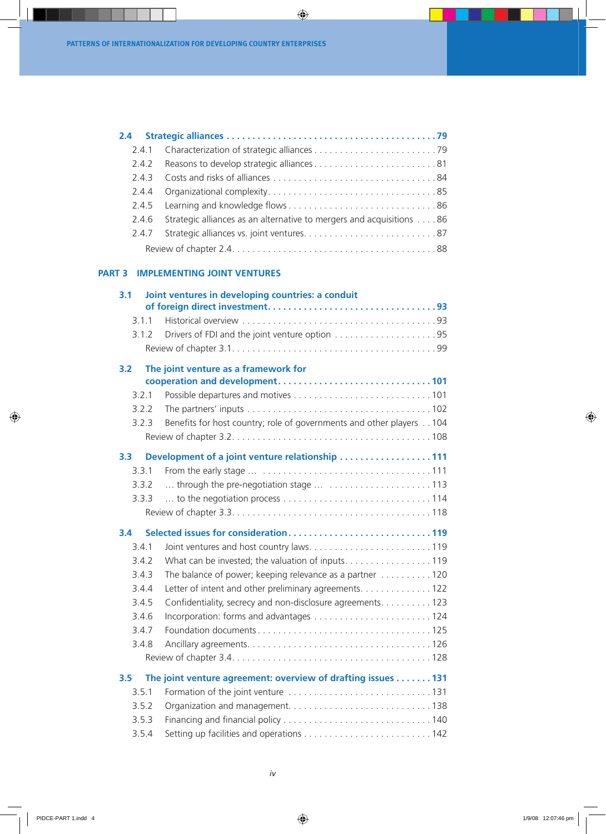| 2.4.2 | Reasons to develop strategic alliances81                             |  |
|-------|----------------------------------------------------------------------|--|
|       |                                                                      |  |
| 2.4.4 |                                                                      |  |
|       |                                                                      |  |
| 2.4.6 | Strategic alliances as an alternative to mergers and acquisitions 86 |  |
|       |                                                                      |  |
|       |                                                                      |  |

### **part 3 Implementing joint ventures**

| 3.1              |       | Joint ventures in developing countries: a conduit                               |
|------------------|-------|---------------------------------------------------------------------------------|
|                  | 3.1.1 |                                                                                 |
|                  | 3.1.2 |                                                                                 |
|                  |       |                                                                                 |
| 3.2              |       | The joint venture as a framework for                                            |
|                  | 3.2.1 |                                                                                 |
|                  | 3.2.2 |                                                                                 |
|                  | 3.2.3 | Benefits for host country; role of governments and other players 104            |
|                  |       |                                                                                 |
| 3.3 <sub>1</sub> |       | Development of a joint venture relationship 111                                 |
|                  | 3.3.1 |                                                                                 |
|                  | 332   | through the pre-negotiation stage  113                                          |
|                  | 3.3.3 |                                                                                 |
|                  |       |                                                                                 |
| 3.4              |       | Selected issues for consideration119                                            |
|                  | 3.4.1 |                                                                                 |
|                  | 3.4.2 | What can be invested; the valuation of inputs. 119                              |
|                  | 3.4.3 | The balance of power; keeping relevance as a partner $\ldots \ldots \ldots 120$ |
|                  | 3.4.4 | Letter of intent and other preliminary agreements. 122                          |
|                  | 3.4.5 | Confidentiality, secrecy and non-disclosure agreements. 123                     |
|                  | 3.4.6 |                                                                                 |
|                  | 3.4.7 |                                                                                 |
|                  | 3.4.8 |                                                                                 |
|                  |       |                                                                                 |
|                  |       |                                                                                 |
| 3.5              |       | The joint venture agreement: overview of drafting issues 131                    |
|                  | 3.5.1 |                                                                                 |
|                  | 3.5.2 |                                                                                 |
|                  | 3.5.3 |                                                                                 |
|                  | 3.5.4 |                                                                                 |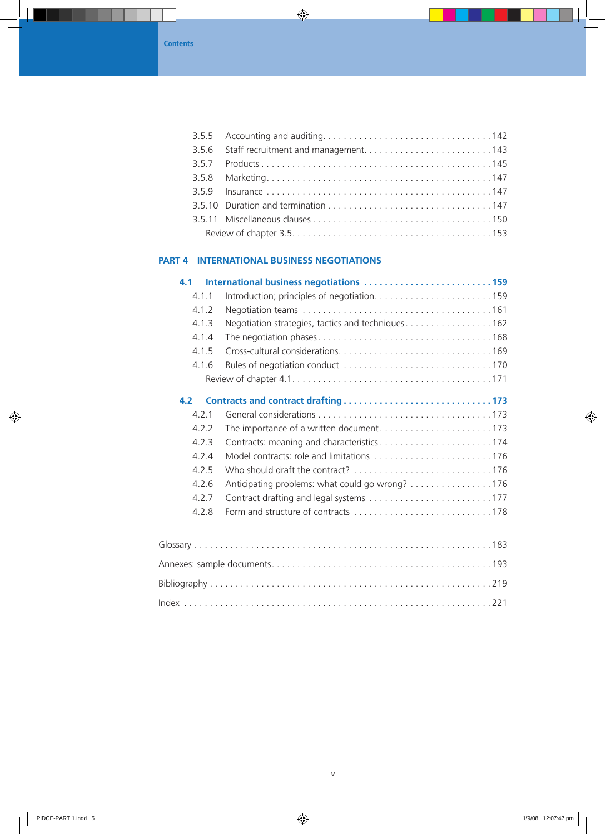### **part 4 International Business Negotiations**

| 4.1       | International business negotiations 159            |     |
|-----------|----------------------------------------------------|-----|
| 4.1.1     |                                                    |     |
| 4.1.2     |                                                    |     |
| 4.1.3     | Negotiation strategies, tactics and techniques 162 |     |
| 4.1.4     |                                                    |     |
| 4.1.5     |                                                    |     |
| 4.1.6     |                                                    |     |
|           |                                                    |     |
| 4.2       |                                                    |     |
| 4.2.1     |                                                    |     |
| 4.2.2     | The importance of a written document173            |     |
| 4.2.3     | Contracts: meaning and characteristics174          |     |
| 4.2.4     | Model contracts: role and limitations 176          |     |
| 4.2.5     | Who should draft the contract? 176                 |     |
| 4.2.6     | Anticipating problems: what could go wrong? 176    |     |
| 4.2.7     |                                                    |     |
| 4.2.8     |                                                    |     |
|           |                                                    |     |
| $c$ c $n$ |                                                    | 102 |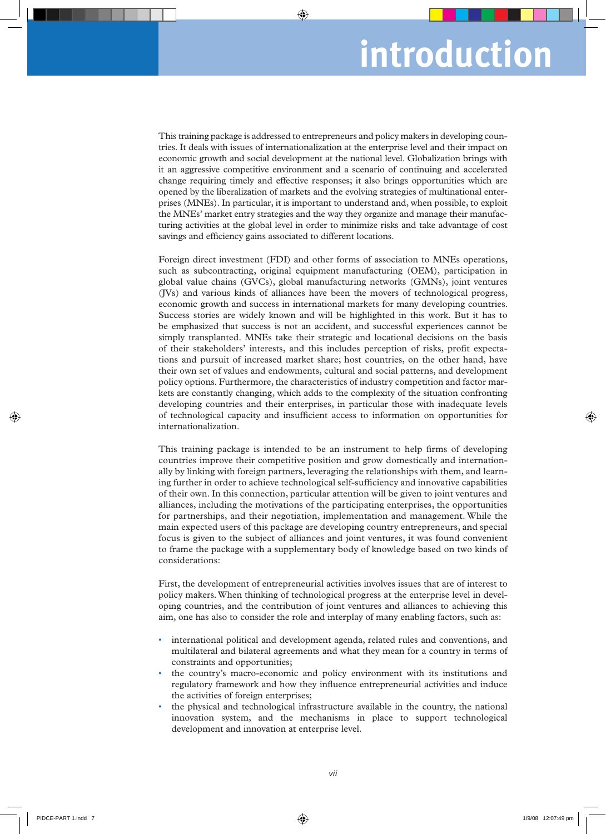## **introduction**

This training package is addressed to entrepreneurs and policy makers in developing countries. It deals with issues of internationalization at the enterprise level and their impact on economic growth and social development at the national level. Globalization brings with it an aggressive competitive environment and a scenario of continuing and accelerated change requiring timely and effective responses; it also brings opportunities which are opened by the liberalization of markets and the evolving strategies of multinational enterprises (MNEs). In particular, it is important to understand and, when possible, to exploit the MNEs' market entry strategies and the way they organize and manage their manufacturing activities at the global level in order to minimize risks and take advantage of cost savings and efficiency gains associated to different locations.

Foreign direct investment (FDI) and other forms of association to MNEs operations, such as subcontracting, original equipment manufacturing (OEM), participation in global value chains (GVCs), global manufacturing networks (GMNs), joint ventures (JVs) and various kinds of alliances have been the movers of technological progress, economic growth and success in international markets for many developing countries. Success stories are widely known and will be highlighted in this work. But it has to be emphasized that success is not an accident, and successful experiences cannot be simply transplanted. MNEs take their strategic and locational decisions on the basis of their stakeholders' interests, and this includes perception of risks, profit expectations and pursuit of increased market share; host countries, on the other hand, have their own set of values and endowments, cultural and social patterns, and development policy options. Furthermore, the characteristics of industry competition and factor markets are constantly changing, which adds to the complexity of the situation confronting developing countries and their enterprises, in particular those with inadequate levels of technological capacity and insufficient access to information on opportunities for internationalization.

This training package is intended to be an instrument to help firms of developing countries improve their competitive position and grow domestically and internationally by linking with foreign partners, leveraging the relationships with them, and learning further in order to achieve technological self-sufficiency and innovative capabilities of their own. In this connection, particular attention will be given to joint ventures and alliances, including the motivations of the participating enterprises, the opportunities for partnerships, and their negotiation, implementation and management. While the main expected users of this package are developing country entrepreneurs, and special focus is given to the subject of alliances and joint ventures, it was found convenient to frame the package with a supplementary body of knowledge based on two kinds of considerations:

First, the development of entrepreneurial activities involves issues that are of interest to policy makers. When thinking of technological progress at the enterprise level in developing countries, and the contribution of joint ventures and alliances to achieving this aim, one has also to consider the role and interplay of many enabling factors, such as:

- international political and development agenda, related rules and conventions, and multilateral and bilateral agreements and what they mean for a country in terms of constraints and opportunities;
- the country's macro-economic and policy environment with its institutions and regulatory framework and how they influence entrepreneurial activities and induce the activities of foreign enterprises;
- the physical and technological infrastructure available in the country, the national innovation system, and the mechanisms in place to support technological development and innovation at enterprise level.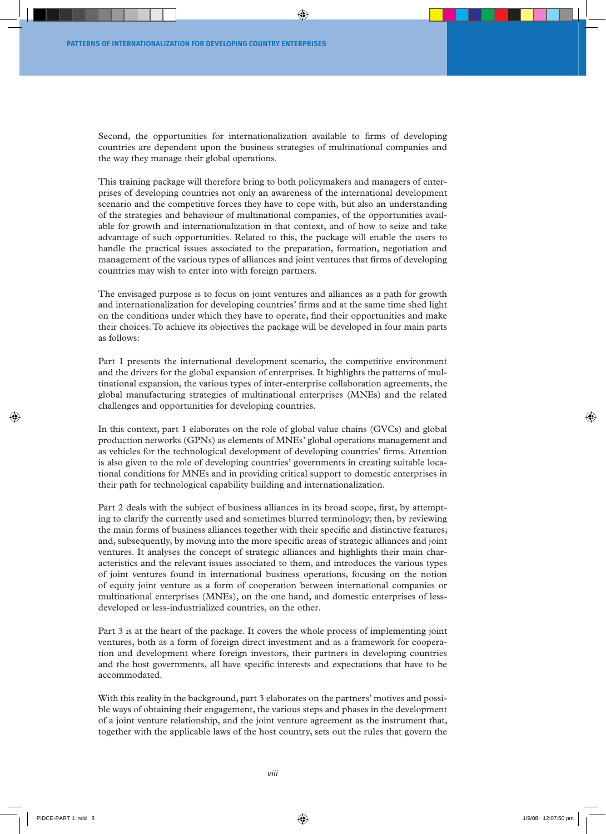Second, the opportunities for internationalization available to firms of developing countries are dependent upon the business strategies of multinational companies and the way they manage their global operations.

This training package will therefore bring to both policymakers and managers of enterprises of developing countries not only an awareness of the international development scenario and the competitive forces they have to cope with, but also an understanding of the strategies and behaviour of multinational companies, of the opportunities available for growth and internationalization in that context, and of how to seize and take advantage of such opportunities. Related to this, the package will enable the users to handle the practical issues associated to the preparation, formation, negotiation and management of the various types of alliances and joint ventures that firms of developing countries may wish to enter into with foreign partners.

The envisaged purpose is to focus on joint ventures and alliances as a path for growth and internationalization for developing countries' firms and at the same time shed light on the conditions under which they have to operate, find their opportunities and make their choices. To achieve its objectives the package will be developed in four main parts as follows:

Part 1 presents the international development scenario, the competitive environment and the drivers for the global expansion of enterprises. It highlights the patterns of multinational expansion, the various types of inter-enterprise collaboration agreements, the global manufacturing strategies of multinational enterprises (MNEs) and the related challenges and opportunities for developing countries.

In this context, part 1 elaborates on the role of global value chains (GVCs) and global production networks (GPNs) as elements of MNEs' global operations management and as vehicles for the technological development of developing countries' firms. Attention is also given to the role of developing countries' governments in creating suitable locational conditions for MNEs and in providing critical support to domestic enterprises in their path for technological capability building and internationalization.

Part 2 deals with the subject of business alliances in its broad scope, first, by attempting to clarify the currently used and sometimes blurred terminology; then, by reviewing the main forms of business alliances together with their specific and distinctive features; and, subsequently, by moving into the more specific areas of strategic alliances and joint ventures. It analyses the concept of strategic alliances and highlights their main characteristics and the relevant issues associated to them, and introduces the various types of joint ventures found in international business operations, focusing on the notion of equity joint venture as a form of cooperation between international companies or multinational enterprises (MNEs), on the one hand, and domestic enterprises of lessdeveloped or less-industrialized countries, on the other.

Part 3 is at the heart of the package. It covers the whole process of implementing joint ventures, both as a form of foreign direct investment and as a framework for cooperation and development where foreign investors, their partners in developing countries and the host governments, all have specific interests and expectations that have to be accommodated.

With this reality in the background, part 3 elaborates on the partners' motives and possible ways of obtaining their engagement, the various steps and phases in the development of a joint venture relationship, and the joint venture agreement as the instrument that, together with the applicable laws of the host country, sets out the rules that govern the